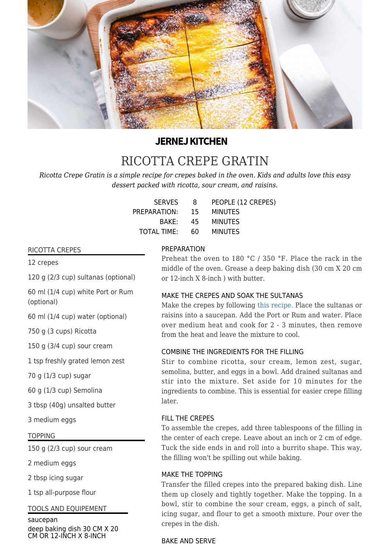

## **JERNEJ KITCHEN**

# [RICOTTA CREPE GRATIN](https://jernejkitchen.com/recipes/ricotta-crepe-gratin)

*Ricotta Crepe Gratin is a simple recipe for crepes baked in the oven. Kids and adults love this easy dessert packed with ricotta, sour cream, and raisins.*

| <b>SERVES</b>   | - 8 | PEOPLE (12 CREPES) |
|-----------------|-----|--------------------|
| PREPARATION: 15 |     | MINUTES            |
| BAKF:           | 45  | MINUTES            |
| TOTAL TIME: 60  |     | MINUTES            |

#### RICOTTA CREPES

12 crepes

120 g (2/3 cup) sultanas (optional)

60 ml (1/4 cup) white Port or Rum (optional)

60 ml (1/4 cup) water (optional)

750 g (3 cups) Ricotta

150 g (3/4 cup) sour cream

1 tsp freshly grated lemon zest

70 g (1/3 cup) sugar

60 g (1/3 cup) Semolina

3 tbsp (40g) unsalted butter

3 medium eggs

#### TOPPING

150 g (2/3 cup) sour cream

2 medium eggs

2 tbsp icing sugar

1 tsp all-purpose flour

#### TOOLS AND EQUIPEMENT

saucepan deep baking dish 30 CM X 20 CM OR 12-INCH X 8-INCH

#### **PREPARATION**

Preheat the oven to 180 °C / 350 °F. Place the rack in the middle of the oven. Grease a deep baking dish (30 cm X 20 cm or 12-inch X 8-inch ) with butter.

#### MAKE THE CREPES AND SOAK THE SULTANAS

Make the crepes by following [this recipe.](https://jernejkitchen.com/recipes/how-to-make-crepes) Place the sultanas or raisins into a saucepan. Add the Port or Rum and water. Place over medium heat and cook for 2 - 3 minutes, then remove from the heat and leave the mixture to cool.

#### COMBINE THE INGREDIENTS FOR THE FILLING

Stir to combine ricotta, sour cream, lemon zest, sugar, semolina, butter, and eggs in a bowl. Add drained sultanas and stir into the mixture. Set aside for 10 minutes for the ingredients to combine. This is essential for easier crepe filling later.

#### FILL THE CREPES

To assemble the crepes, add three tablespoons of the filling in the center of each crepe. Leave about an inch or 2 cm of edge. Tuck the side ends in and roll into a burrito shape. This way, the filling won't be spilling out while baking.

#### MAKE THE TOPPING

Transfer the filled crepes into the prepared baking dish. Line them up closely and tightly together. Make the topping. In a bowl, stir to combine the sour cream, eggs, a pinch of salt, icing sugar, and flour to get a smooth mixture. Pour over the crepes in the dish.

### BAKE AND SERVE